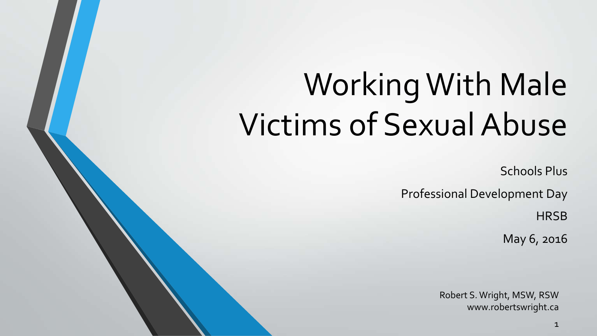# Working With Male Victims of Sexual Abuse

Schools Plus

Professional Development Day

**HRSB** 

May 6, 2016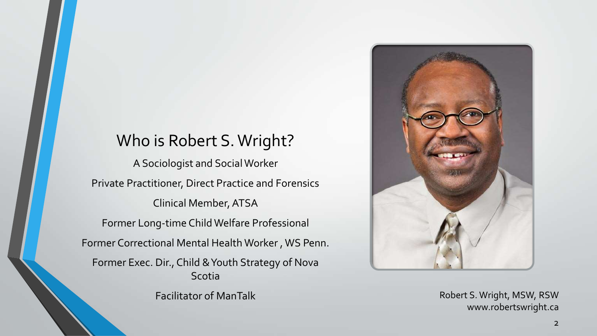#### Who is Robert S. Wright?

A Sociologist and Social Worker Private Practitioner, Direct Practice and Forensics Clinical Member, ATSA Former Long-time Child Welfare Professional Former Correctional Mental Health Worker , WS Penn. Former Exec. Dir., Child & Youth Strategy of Nova Scotia Facilitator of ManTalk

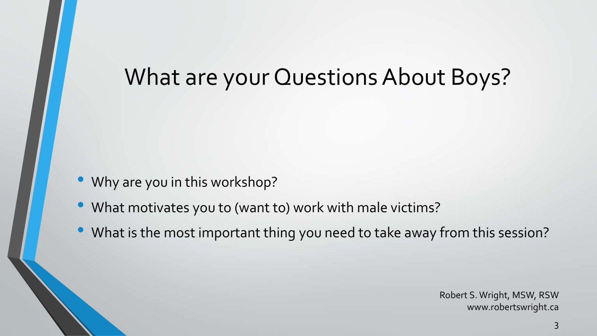### What are your Questions About Boys?

- Why are you in this workshop?
- What motivates you to (want to) work with male victims?
- What is the most important thing you need to take away from this session?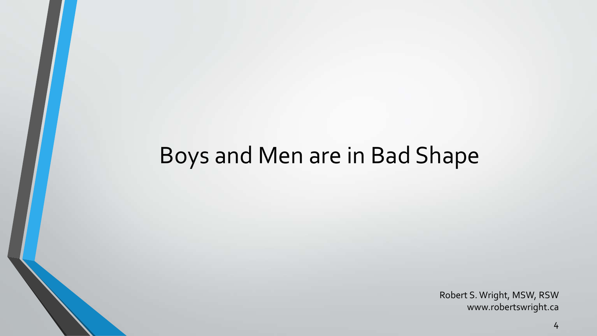## Boys and Men are in Bad Shape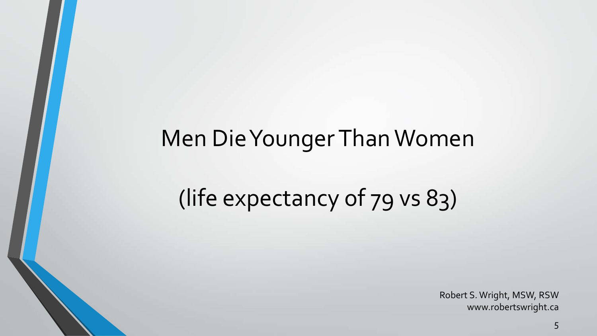## Men Die Younger Than Women

# (life expectancy of 79 vs 83)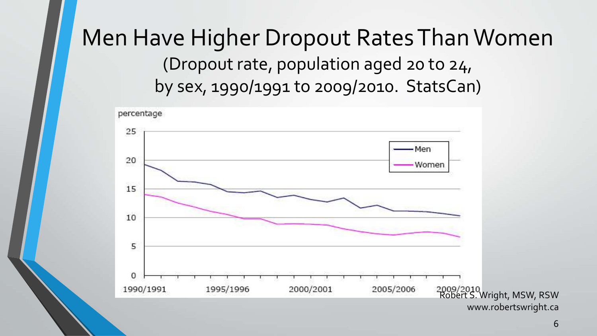#### Men Have Higher Dropout Rates Than Women (Dropout rate, population aged 20 to 24, by sex, 1990/1991 to 2009/2010. StatsCan)

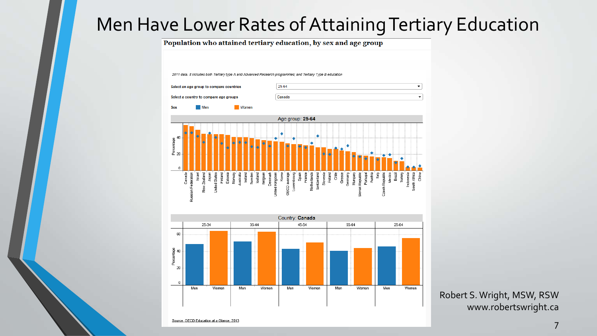#### Men Have Lower Rates of Attaining Tertiary Education

Population who attained tertiary education, by sex and age group



Robert S. Wright, MSW, RSW www.robertswright.ca

Source, OECD Education at a Glance, 2013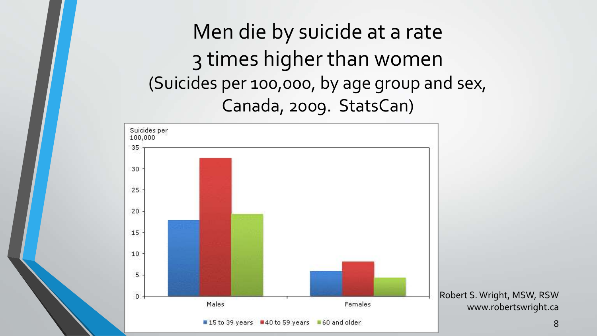Men die by suicide at a rate 3 times higher than women (Suicides per 100,000, by age group and sex, Canada, 2009. StatsCan)



8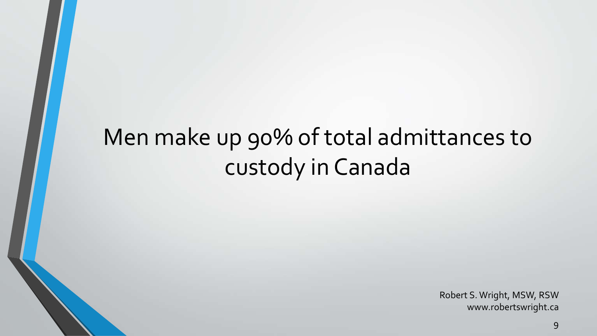# Men make up 90% of total admittances to custody in Canada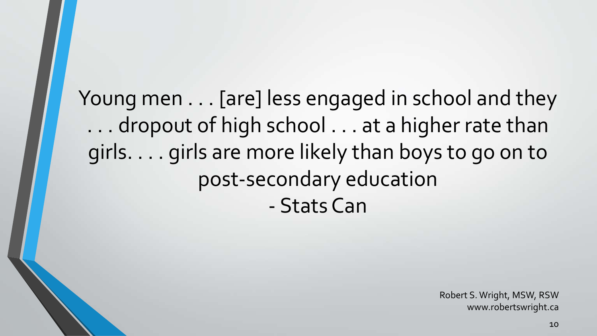Young men . . . [are] less engaged in school and they . . . dropout of high school . . . at a higher rate than girls. . . . girls are more likely than boys to go on to post-secondary education - Stats Can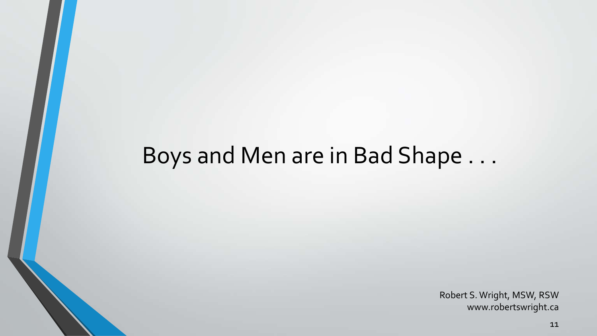### Boys and Men are in Bad Shape . . .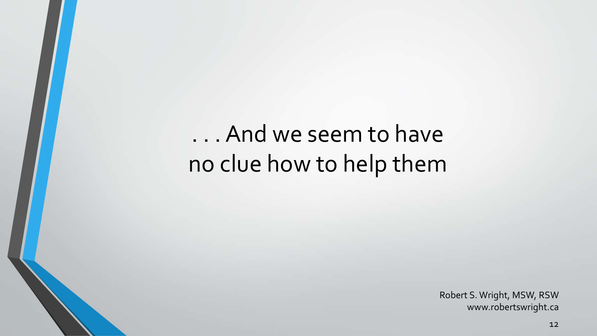# . . . And we seem to have no clue how to help them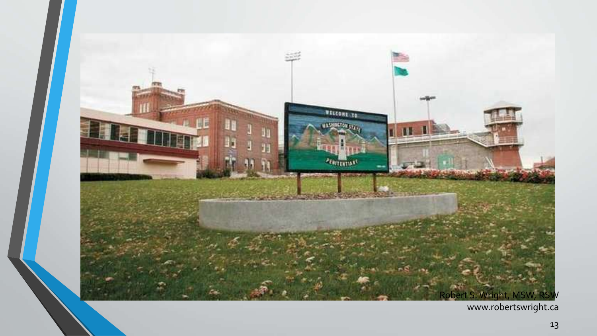

www.robertswright.ca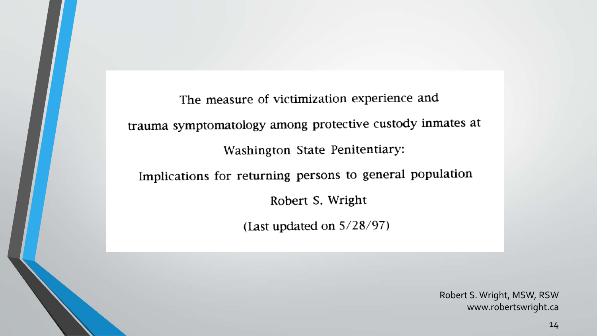The measure of victimization experience and trauma symptomatology among protective custody inmates at Washington State Penitentiary: Implications for returning persons to general population Robert S. Wright (Last updated on  $5/28/97$ )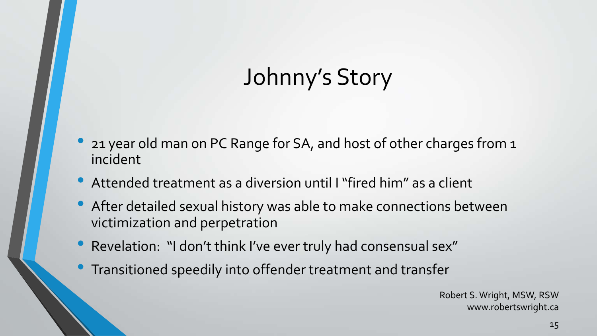# Johnny's Story

- 21 year old man on PC Range for SA, and host of other charges from 1 incident
- Attended treatment as a diversion until I "fired him" as a client
- After detailed sexual history was able to make connections between victimization and perpetration
- Revelation: "I don't think I've ever truly had consensual sex"
- Transitioned speedily into offender treatment and transfer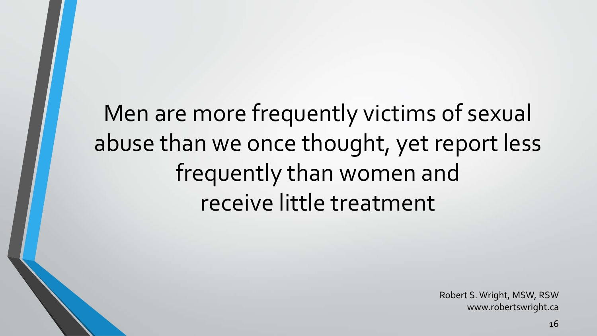Men are more frequently victims of sexual abuse than we once thought, yet report less frequently than women and receive little treatment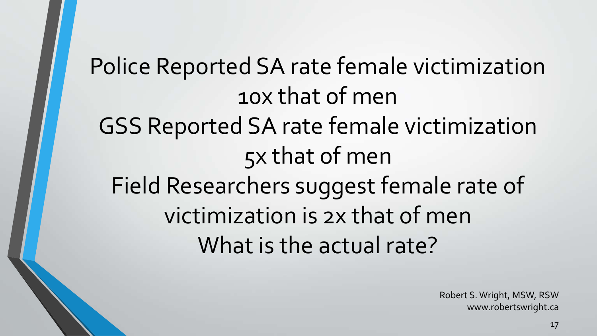Police Reported SA rate female victimization 10x that of men GSS Reported SA rate female victimization 5x that of men Field Researchers suggest female rate of victimization is 2x that of men What is the actual rate?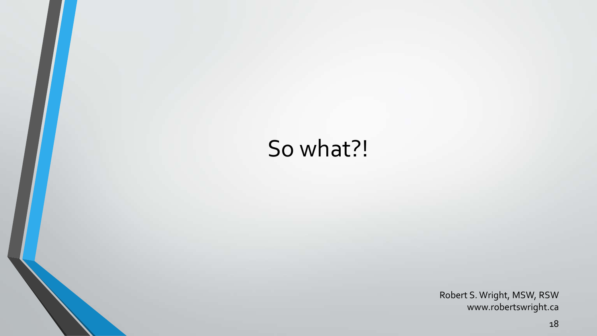# So what?!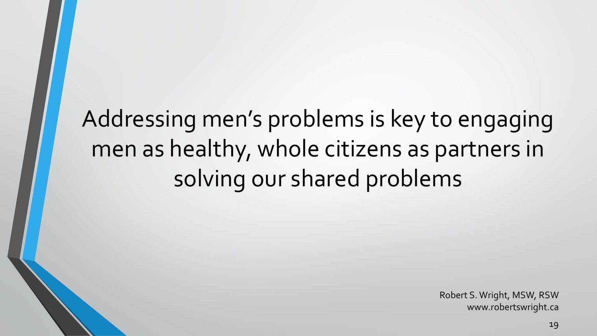# Addressing men's problems is key to engaging men as healthy, whole citizens as partners in solving our shared problems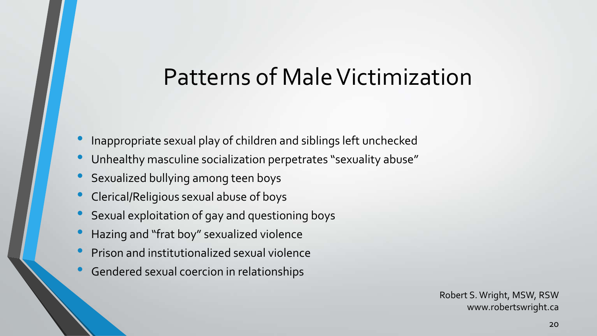#### Patterns of Male Victimization

- Inappropriate sexual play of children and siblings left unchecked
- Unhealthy masculine socialization perpetrates "sexuality abuse"
- Sexualized bullying among teen boys
- Clerical/Religious sexual abuse of boys
- Sexual exploitation of gay and questioning boys
- Hazing and "frat boy" sexualized violence
- Prison and institutionalized sexual violence
- Gendered sexual coercion in relationships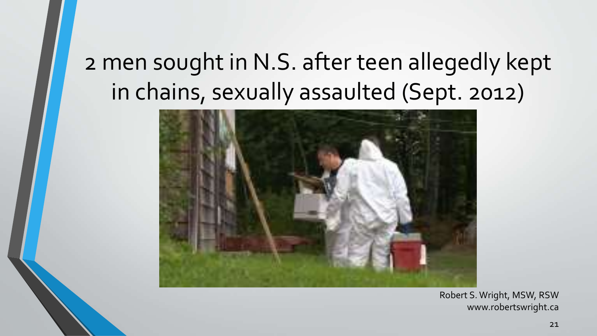# 2 men sought in N.S. after teen allegedly kept in chains, sexually assaulted (Sept. 2012)

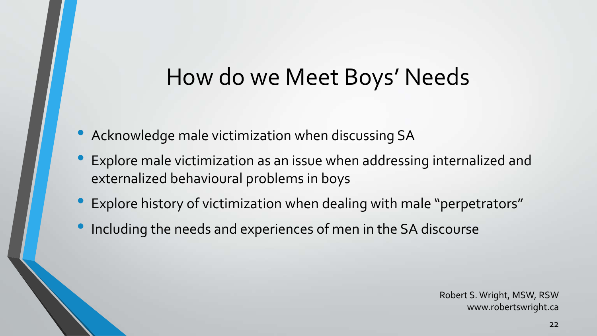### How do we Meet Boys' Needs

- Acknowledge male victimization when discussing SA
- Explore male victimization as an issue when addressing internalized and externalized behavioural problems in boys
- Explore history of victimization when dealing with male "perpetrators"
- Including the needs and experiences of men in the SA discourse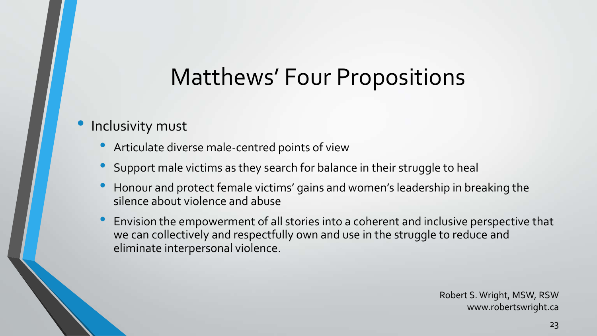# Matthews' Four Propositions

#### Inclusivity must

- Articulate diverse male-centred points of view
- Support male victims as they search for balance in their struggle to heal
- Honour and protect female victims' gains and women's leadership in breaking the silence about violence and abuse
- Envision the empowerment of all stories into a coherent and inclusive perspective that we can collectively and respectfully own and use in the struggle to reduce and eliminate interpersonal violence.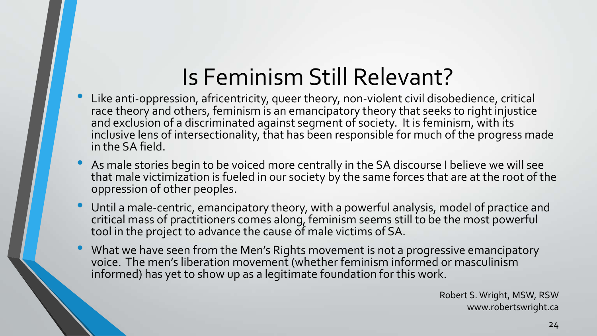# Is Feminism Still Relevant?

- Like anti-oppression, africentricity, queer theory, non-violent civil disobedience, critical race theory and others, feminism is an emancipatory theory that seeks to right injustice and exclusion of a discriminated against segment of society. It is feminism, with its inclusive lens of intersectionality, that has been responsible for much of the progress made in the SA field.
- As male stories begin to be voiced more centrally in the SA discourse I believe we will see that male victimization is fueled in our society by the same forces that are at the root of the oppression of other peoples.
- Until a male-centric, emancipatory theory, with a powerful analysis, model of practice and critical mass of practitioners comes along, feminism seems still to be the most powerful tool in the project to advance the cause of male victims of SA.
- What we have seen from the Men's Rights movement is not a progressive emancipatory voice. The men's liberation movement (whether feminism informed or masculinism informed) has yet to show up as a legitimate foundation for this work.